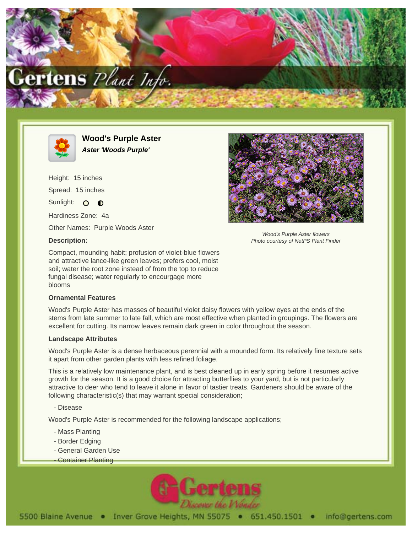



**Wood's Purple Aster Aster 'Woods Purple'**

Height: 15 inches Spread: 15 inches Sunlight: O O Hardiness Zone: 4a

Other Names: Purple Woods Aster

## **Description:**

Compact, mounding habit; profusion of violet-blue flowers and attractive lance-like green leaves; prefers cool, moist soil; water the root zone instead of from the top to reduce fungal disease; water regularly to encourgage more blooms

## **Ornamental Features**

Wood's Purple Aster has masses of beautiful violet daisy flowers with yellow eyes at the ends of the stems from late summer to late fall, which are most effective when planted in groupings. The flowers are excellent for cutting. Its narrow leaves remain dark green in color throughout the season.

## **Landscape Attributes**

Wood's Purple Aster is a dense herbaceous perennial with a mounded form. Its relatively fine texture sets it apart from other garden plants with less refined foliage.

This is a relatively low maintenance plant, and is best cleaned up in early spring before it resumes active growth for the season. It is a good choice for attracting butterflies to your yard, but is not particularly attractive to deer who tend to leave it alone in favor of tastier treats. Gardeners should be aware of the following characteristic(s) that may warrant special consideration;

- Disease

Wood's Purple Aster is recommended for the following landscape applications;

- Mass Planting
- Border Edging
- General Garden Use
- **Container Planting**





Wood's Purple Aster flowers Photo courtesy of NetPS Plant Finder